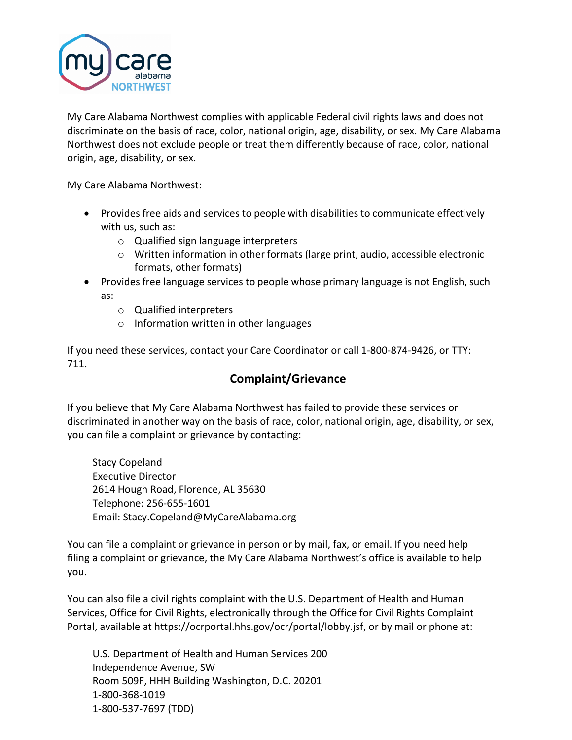

My Care Alabama Northwest complies with applicable Federal civil rights laws and does not discriminate on the basis of race, color, national origin, age, disability, or sex. My Care Alabama Northwest does not exclude people or treat them differently because of race, color, national origin, age, disability, or sex.

My Care Alabama Northwest:

- Provides free aids and services to people with disabilities to communicate effectively with us, such as:
	- o Qualified sign language interpreters
	- $\circ$  Written information in other formats (large print, audio, accessible electronic formats, other formats)
- Provides free language services to people whose primary language is not English, such as:
	- o Qualified interpreters
	- o Information written in other languages

If you need these services, contact your Care Coordinator or call 1-800-874-9426, or TTY: 711.

# **Complaint/Grievance**

If you believe that My Care Alabama Northwest has failed to provide these services or discriminated in another way on the basis of race, color, national origin, age, disability, or sex, you can file a complaint or grievance by contacting:

Stacy Copeland Executive Director 2614 Hough Road, Florence, AL 35630 Telephone: 256-655-1601 Email: Stacy.Copeland@MyCareAlabama.org

You can file a complaint or grievance in person or by mail, fax, or email. If you need help filing a complaint or grievance, the My Care Alabama Northwest's office is available to help you.

You can also file a civil rights complaint with the U.S. Department of Health and Human Services, Office for Civil Rights, electronically through the Office for Civil Rights Complaint Portal, available at https://ocrportal.hhs.gov/ocr/portal/lobby.jsf, or by mail or phone at:

U.S. Department of Health and Human Services 200 Independence Avenue, SW Room 509F, HHH Building Washington, D.C. 20201 1-800-368-1019 1-800-537-7697 (TDD)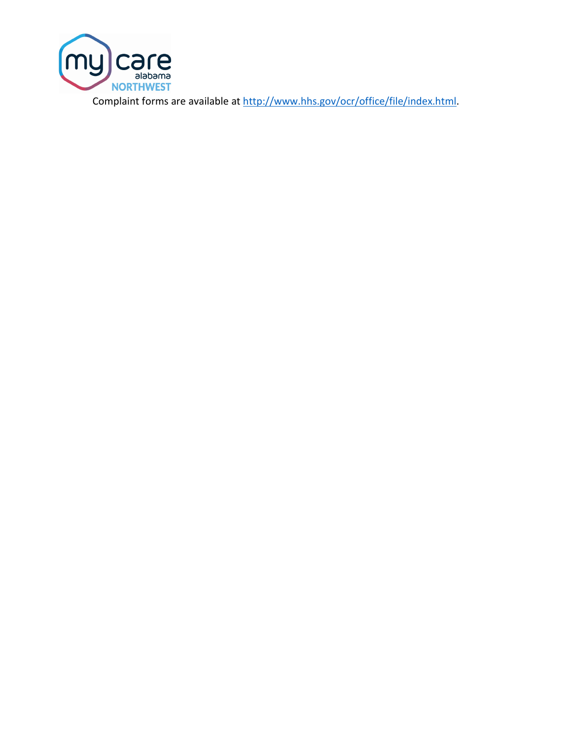

Complaint forms are available at [http://www.hhs.gov/ocr/office/file/index.html.](http://www.hhs.gov/ocr/office/file/index.html)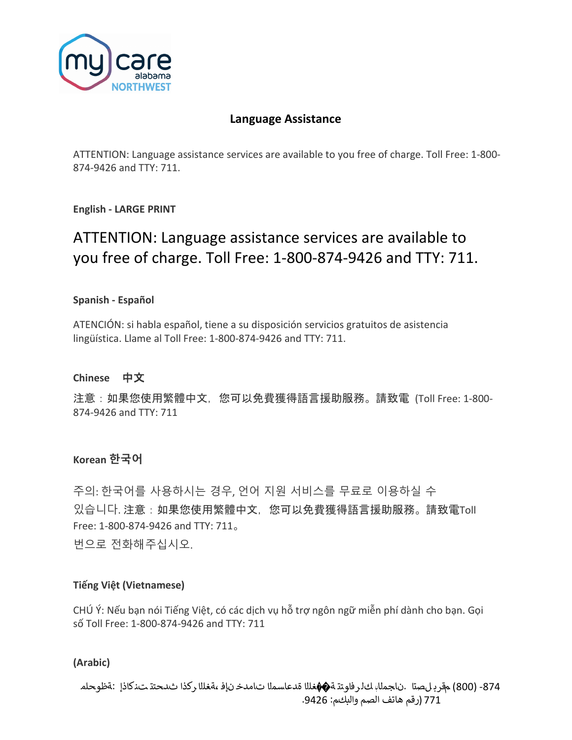

# **Language Assistance**

ATTENTION: Language assistance services are available to you free of charge. Toll Free: 1-800- 874-9426 and TTY: 711.

**English - LARGE PRINT**

# ATTENTION: Language assistance services are available to you free of charge. Toll Free: 1-800-874-9426 and TTY: 711.

#### **Spanish - Español**

ATENCIÓN: si habla español, tiene a su disposición servicios gratuitos de asistencia lingüística. Llame al Toll Free: 1-800-874-9426 and TTY: 711.

#### **Chinese** 中文

注意:如果您使用繁體中文,您可以免費獲得語言援助服務。請致電 (Toll Free: 1-800- 874-9426 and TTY: 711

### **Korean 한국어**

주의: 한국어를 사용하시는 경우, 언어 지원 서비스를 무료로 이용하실 수 있습니다. 注意:如果您使用繁體中文,您可以免費獲得語言援助服務。請致電Toll Free: 1-800-874-9426 and TTY: 711。 번으로 전화해주십시오.

#### **Tiếng Việt (Vietnamese)**

CHÚ Ý: Nếu bạn nói Tiếng Việt, có các dịch vụ hỗ trợ ngôn ngữ miễn phí dành cho bạn. Gọi số Toll Free: 1-800-874-9426 and TTY: 711

#### **(Arabic)**

-874 (800) مقرب لصتا .ناجملاب كل رفاوتت ة��غللا ةدعاسملا تامدخ نإف ،ةغللا ركذا ثدحتت تنكاذإ :ةظوحلم 771 (رقم هاتف الصم والبكم: .9426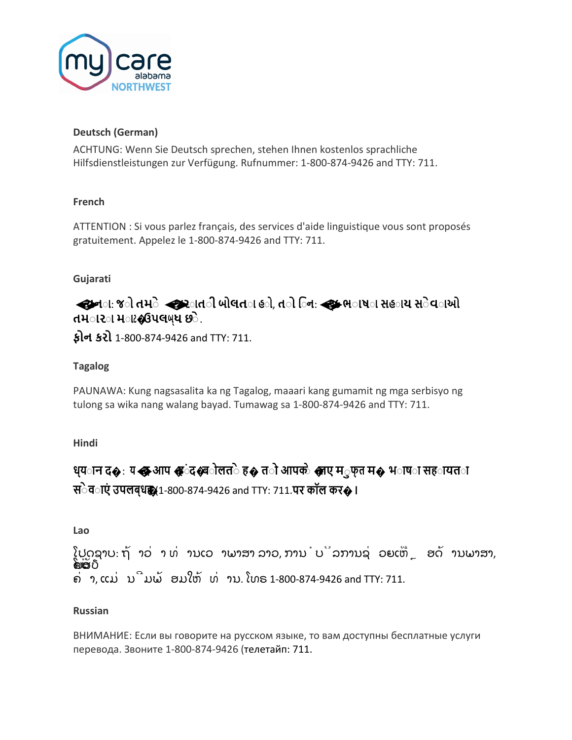

#### **Deutsch (German)**

ACHTUNG: Wenn Sie Deutsch sprechen, stehen Ihnen kostenlos sprachliche Hilfsdienstleistungen zur Verfügung. Rufnummer: 1-800-874-9426 and TTY: 711.

#### **French**

ATTENTION : Si vous parlez français, des services d'aide linguistique vous sont proposés gratuitement. Appelez le 1-800-874-9426 and TTY: 711.

#### **Gujarati**

**�ચન◌ા**: **જ◌ો તમ◌ે�જર◌ાત◌ી બોલત◌ા હ◌ો**, **ત◌ો િ◌ન**:**�લ◌્ક ભ◌ાષ◌ા સહ◌ાય સ◌ેવ◌ાઓ તમ◌ાર◌ા મ◌ાટ�ઉપલબ્ધ છ◌ે**.

**ફોન કરો** 1-800-874-9426 and TTY: 711.

#### **Tagalog**

PAUNAWA: Kung nagsasalita ka ng Tagalog, maaari kang gumamit ng mga serbisyo ng tulong sa wika nang walang bayad. Tumawag sa 1-800-874-9426 and TTY: 711.

**Hindi**

# **ध्य◌ान <sup>द</sup>�**: **य�<sup>द</sup> आप �ह◌ंद�ब◌ोलत◌ेह� त◌ो आपक◌े�लए म◌ुफ्त <sup>म</sup>� भ◌ाष◌ा सह◌ायत◌ा स◌ेव◌ाएं उपलब्धह�।** (1-800-874-9426 and TTY: 711.**पर कॉल कर�।**

**Lao**

ໂປດຊາບ: ຖ້ າວ່ າ ທ່ ານເວ າພາສາ ລາວ, ການໍບິລການຊ່ ວຍເຫືຼ ອດ້ ານພາສາ, **ີຄືເສັ**ຽ ຄ່ າ, ແມ່ ນີມພ້ ອມໃຫ້ ທ່ ານ. ໂທຣ 1-800-874-9426 and TTY: 711.

#### **Russian**

ВНИМАНИЕ: Если вы говорите на русском языке, то вам доступны бесплатные услуги перевода. Звоните 1-800-874-9426 (телетайп: 711.